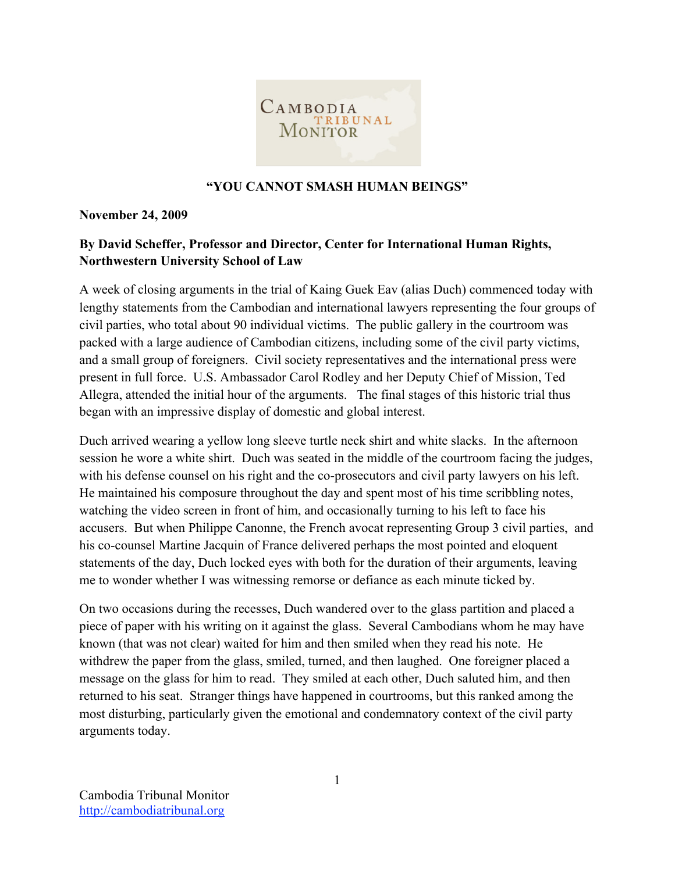

### **"YOU CANNOT SMASH HUMAN BEINGS"**

**November 24, 2009**

## **By David Scheffer, Professor and Director, Center for International Human Rights, Northwestern University School of Law**

A week of closing arguments in the trial of Kaing Guek Eav (alias Duch) commenced today with lengthy statements from the Cambodian and international lawyers representing the four groups of civil parties, who total about 90 individual victims. The public gallery in the courtroom was packed with a large audience of Cambodian citizens, including some of the civil party victims, and a small group of foreigners. Civil society representatives and the international press were present in full force. U.S. Ambassador Carol Rodley and her Deputy Chief of Mission, Ted Allegra, attended the initial hour of the arguments. The final stages of this historic trial thus began with an impressive display of domestic and global interest.

Duch arrived wearing a yellow long sleeve turtle neck shirt and white slacks. In the afternoon session he wore a white shirt. Duch was seated in the middle of the courtroom facing the judges, with his defense counsel on his right and the co-prosecutors and civil party lawyers on his left. He maintained his composure throughout the day and spent most of his time scribbling notes, watching the video screen in front of him, and occasionally turning to his left to face his accusers. But when Philippe Canonne, the French avocat representing Group 3 civil parties, and his co-counsel Martine Jacquin of France delivered perhaps the most pointed and eloquent statements of the day, Duch locked eyes with both for the duration of their arguments, leaving me to wonder whether I was witnessing remorse or defiance as each minute ticked by.

On two occasions during the recesses, Duch wandered over to the glass partition and placed a piece of paper with his writing on it against the glass. Several Cambodians whom he may have known (that was not clear) waited for him and then smiled when they read his note. He withdrew the paper from the glass, smiled, turned, and then laughed. One foreigner placed a message on the glass for him to read. They smiled at each other, Duch saluted him, and then returned to his seat. Stranger things have happened in courtrooms, but this ranked among the most disturbing, particularly given the emotional and condemnatory context of the civil party arguments today.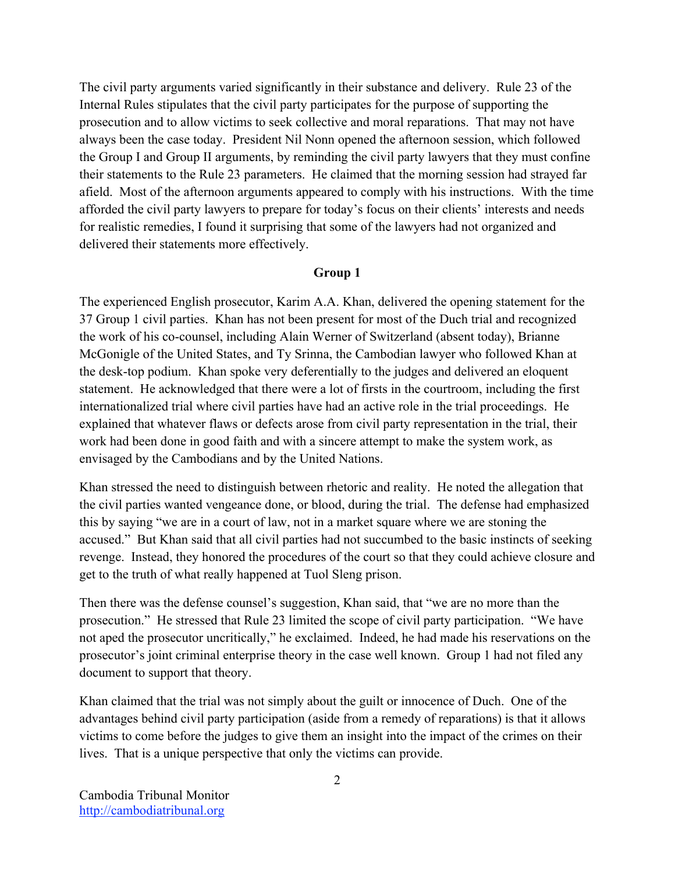The civil party arguments varied significantly in their substance and delivery. Rule 23 of the Internal Rules stipulates that the civil party participates for the purpose of supporting the prosecution and to allow victims to seek collective and moral reparations. That may not have always been the case today. President Nil Nonn opened the afternoon session, which followed the Group I and Group II arguments, by reminding the civil party lawyers that they must confine their statements to the Rule 23 parameters. He claimed that the morning session had strayed far afield. Most of the afternoon arguments appeared to comply with his instructions. With the time afforded the civil party lawyers to prepare for today's focus on their clients' interests and needs for realistic remedies, I found it surprising that some of the lawyers had not organized and delivered their statements more effectively.

### **Group 1**

The experienced English prosecutor, Karim A.A. Khan, delivered the opening statement for the 37 Group 1 civil parties. Khan has not been present for most of the Duch trial and recognized the work of his co-counsel, including Alain Werner of Switzerland (absent today), Brianne McGonigle of the United States, and Ty Srinna, the Cambodian lawyer who followed Khan at the desk-top podium. Khan spoke very deferentially to the judges and delivered an eloquent statement. He acknowledged that there were a lot of firsts in the courtroom, including the first internationalized trial where civil parties have had an active role in the trial proceedings. He explained that whatever flaws or defects arose from civil party representation in the trial, their work had been done in good faith and with a sincere attempt to make the system work, as envisaged by the Cambodians and by the United Nations.

Khan stressed the need to distinguish between rhetoric and reality. He noted the allegation that the civil parties wanted vengeance done, or blood, during the trial. The defense had emphasized this by saying "we are in a court of law, not in a market square where we are stoning the accused." But Khan said that all civil parties had not succumbed to the basic instincts of seeking revenge. Instead, they honored the procedures of the court so that they could achieve closure and get to the truth of what really happened at Tuol Sleng prison.

Then there was the defense counsel's suggestion, Khan said, that "we are no more than the prosecution." He stressed that Rule 23 limited the scope of civil party participation. "We have not aped the prosecutor uncritically," he exclaimed. Indeed, he had made his reservations on the prosecutor's joint criminal enterprise theory in the case well known. Group 1 had not filed any document to support that theory.

Khan claimed that the trial was not simply about the guilt or innocence of Duch. One of the advantages behind civil party participation (aside from a remedy of reparations) is that it allows victims to come before the judges to give them an insight into the impact of the crimes on their lives. That is a unique perspective that only the victims can provide.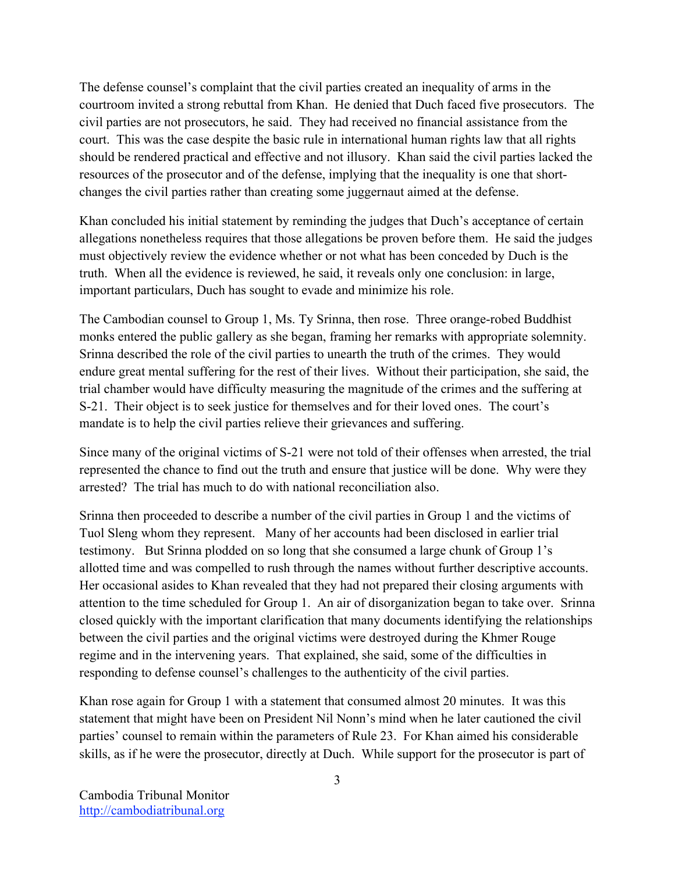The defense counsel's complaint that the civil parties created an inequality of arms in the courtroom invited a strong rebuttal from Khan. He denied that Duch faced five prosecutors. The civil parties are not prosecutors, he said. They had received no financial assistance from the court. This was the case despite the basic rule in international human rights law that all rights should be rendered practical and effective and not illusory. Khan said the civil parties lacked the resources of the prosecutor and of the defense, implying that the inequality is one that shortchanges the civil parties rather than creating some juggernaut aimed at the defense.

Khan concluded his initial statement by reminding the judges that Duch's acceptance of certain allegations nonetheless requires that those allegations be proven before them. He said the judges must objectively review the evidence whether or not what has been conceded by Duch is the truth. When all the evidence is reviewed, he said, it reveals only one conclusion: in large, important particulars, Duch has sought to evade and minimize his role.

The Cambodian counsel to Group 1, Ms. Ty Srinna, then rose. Three orange-robed Buddhist monks entered the public gallery as she began, framing her remarks with appropriate solemnity. Srinna described the role of the civil parties to unearth the truth of the crimes. They would endure great mental suffering for the rest of their lives. Without their participation, she said, the trial chamber would have difficulty measuring the magnitude of the crimes and the suffering at S-21. Their object is to seek justice for themselves and for their loved ones. The court's mandate is to help the civil parties relieve their grievances and suffering.

Since many of the original victims of S-21 were not told of their offenses when arrested, the trial represented the chance to find out the truth and ensure that justice will be done. Why were they arrested? The trial has much to do with national reconciliation also.

Srinna then proceeded to describe a number of the civil parties in Group 1 and the victims of Tuol Sleng whom they represent. Many of her accounts had been disclosed in earlier trial testimony. But Srinna plodded on so long that she consumed a large chunk of Group 1's allotted time and was compelled to rush through the names without further descriptive accounts. Her occasional asides to Khan revealed that they had not prepared their closing arguments with attention to the time scheduled for Group 1. An air of disorganization began to take over. Srinna closed quickly with the important clarification that many documents identifying the relationships between the civil parties and the original victims were destroyed during the Khmer Rouge regime and in the intervening years. That explained, she said, some of the difficulties in responding to defense counsel's challenges to the authenticity of the civil parties.

Khan rose again for Group 1 with a statement that consumed almost 20 minutes. It was this statement that might have been on President Nil Nonn's mind when he later cautioned the civil parties' counsel to remain within the parameters of Rule 23. For Khan aimed his considerable skills, as if he were the prosecutor, directly at Duch. While support for the prosecutor is part of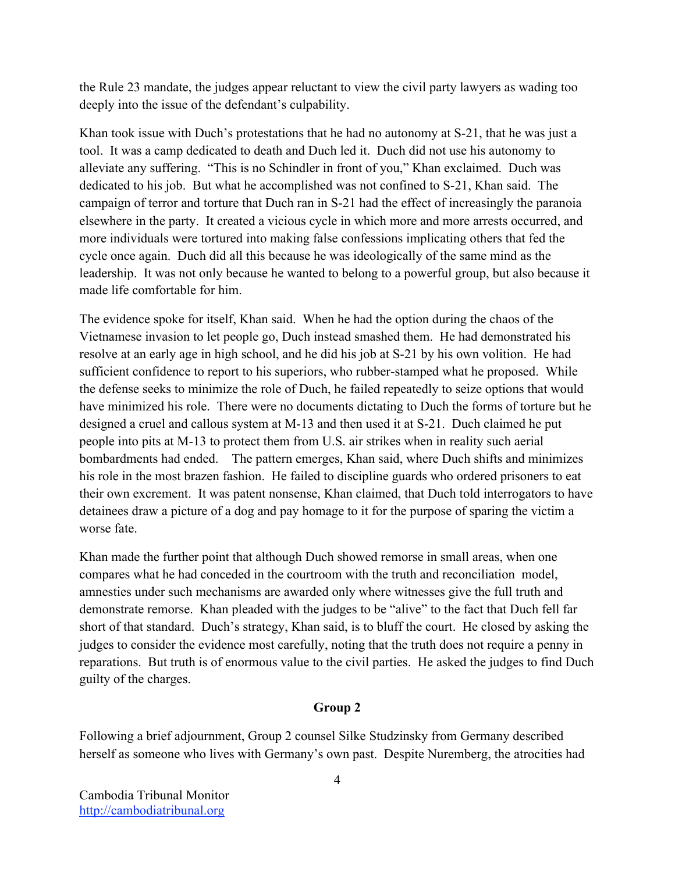the Rule 23 mandate, the judges appear reluctant to view the civil party lawyers as wading too deeply into the issue of the defendant's culpability.

Khan took issue with Duch's protestations that he had no autonomy at S-21, that he was just a tool. It was a camp dedicated to death and Duch led it. Duch did not use his autonomy to alleviate any suffering. "This is no Schindler in front of you," Khan exclaimed. Duch was dedicated to his job. But what he accomplished was not confined to S-21, Khan said. The campaign of terror and torture that Duch ran in S-21 had the effect of increasingly the paranoia elsewhere in the party. It created a vicious cycle in which more and more arrests occurred, and more individuals were tortured into making false confessions implicating others that fed the cycle once again. Duch did all this because he was ideologically of the same mind as the leadership. It was not only because he wanted to belong to a powerful group, but also because it made life comfortable for him.

The evidence spoke for itself, Khan said. When he had the option during the chaos of the Vietnamese invasion to let people go, Duch instead smashed them. He had demonstrated his resolve at an early age in high school, and he did his job at S-21 by his own volition. He had sufficient confidence to report to his superiors, who rubber-stamped what he proposed. While the defense seeks to minimize the role of Duch, he failed repeatedly to seize options that would have minimized his role. There were no documents dictating to Duch the forms of torture but he designed a cruel and callous system at M-13 and then used it at S-21. Duch claimed he put people into pits at M-13 to protect them from U.S. air strikes when in reality such aerial bombardments had ended. The pattern emerges, Khan said, where Duch shifts and minimizes his role in the most brazen fashion. He failed to discipline guards who ordered prisoners to eat their own excrement. It was patent nonsense, Khan claimed, that Duch told interrogators to have detainees draw a picture of a dog and pay homage to it for the purpose of sparing the victim a worse fate.

Khan made the further point that although Duch showed remorse in small areas, when one compares what he had conceded in the courtroom with the truth and reconciliation model, amnesties under such mechanisms are awarded only where witnesses give the full truth and demonstrate remorse. Khan pleaded with the judges to be "alive" to the fact that Duch fell far short of that standard. Duch's strategy, Khan said, is to bluff the court. He closed by asking the judges to consider the evidence most carefully, noting that the truth does not require a penny in reparations. But truth is of enormous value to the civil parties. He asked the judges to find Duch guilty of the charges.

# **Group 2**

Following a brief adjournment, Group 2 counsel Silke Studzinsky from Germany described herself as someone who lives with Germany's own past. Despite Nuremberg, the atrocities had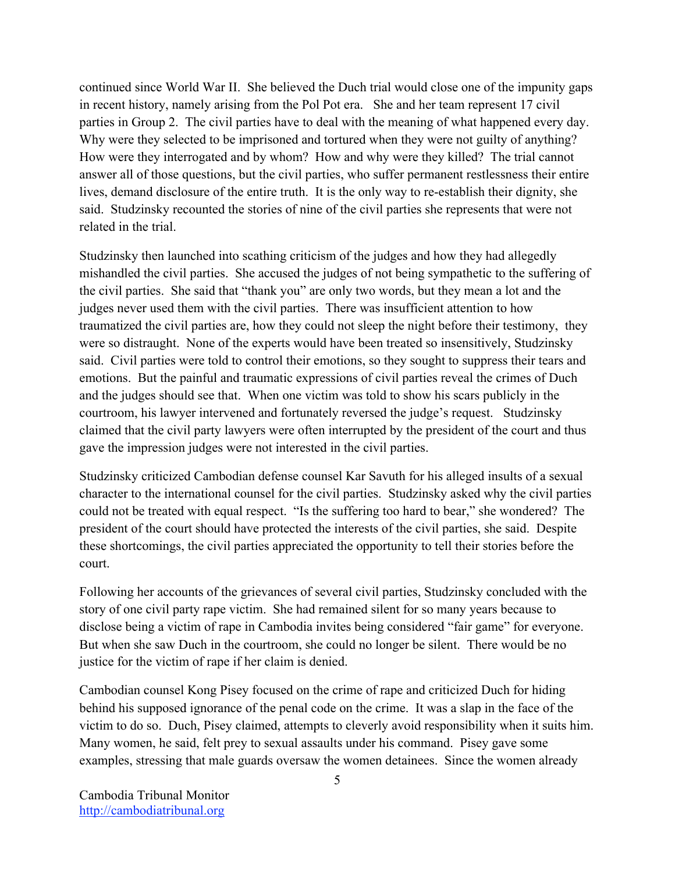continued since World War II. She believed the Duch trial would close one of the impunity gaps in recent history, namely arising from the Pol Pot era. She and her team represent 17 civil parties in Group 2. The civil parties have to deal with the meaning of what happened every day. Why were they selected to be imprisoned and tortured when they were not guilty of anything? How were they interrogated and by whom? How and why were they killed? The trial cannot answer all of those questions, but the civil parties, who suffer permanent restlessness their entire lives, demand disclosure of the entire truth. It is the only way to re-establish their dignity, she said. Studzinsky recounted the stories of nine of the civil parties she represents that were not related in the trial.

Studzinsky then launched into scathing criticism of the judges and how they had allegedly mishandled the civil parties. She accused the judges of not being sympathetic to the suffering of the civil parties. She said that "thank you" are only two words, but they mean a lot and the judges never used them with the civil parties. There was insufficient attention to how traumatized the civil parties are, how they could not sleep the night before their testimony, they were so distraught. None of the experts would have been treated so insensitively, Studzinsky said. Civil parties were told to control their emotions, so they sought to suppress their tears and emotions. But the painful and traumatic expressions of civil parties reveal the crimes of Duch and the judges should see that. When one victim was told to show his scars publicly in the courtroom, his lawyer intervened and fortunately reversed the judge's request. Studzinsky claimed that the civil party lawyers were often interrupted by the president of the court and thus gave the impression judges were not interested in the civil parties.

Studzinsky criticized Cambodian defense counsel Kar Savuth for his alleged insults of a sexual character to the international counsel for the civil parties. Studzinsky asked why the civil parties could not be treated with equal respect. "Is the suffering too hard to bear," she wondered? The president of the court should have protected the interests of the civil parties, she said. Despite these shortcomings, the civil parties appreciated the opportunity to tell their stories before the court.

Following her accounts of the grievances of several civil parties, Studzinsky concluded with the story of one civil party rape victim. She had remained silent for so many years because to disclose being a victim of rape in Cambodia invites being considered "fair game" for everyone. But when she saw Duch in the courtroom, she could no longer be silent. There would be no justice for the victim of rape if her claim is denied.

Cambodian counsel Kong Pisey focused on the crime of rape and criticized Duch for hiding behind his supposed ignorance of the penal code on the crime. It was a slap in the face of the victim to do so. Duch, Pisey claimed, attempts to cleverly avoid responsibility when it suits him. Many women, he said, felt prey to sexual assaults under his command. Pisey gave some examples, stressing that male guards oversaw the women detainees. Since the women already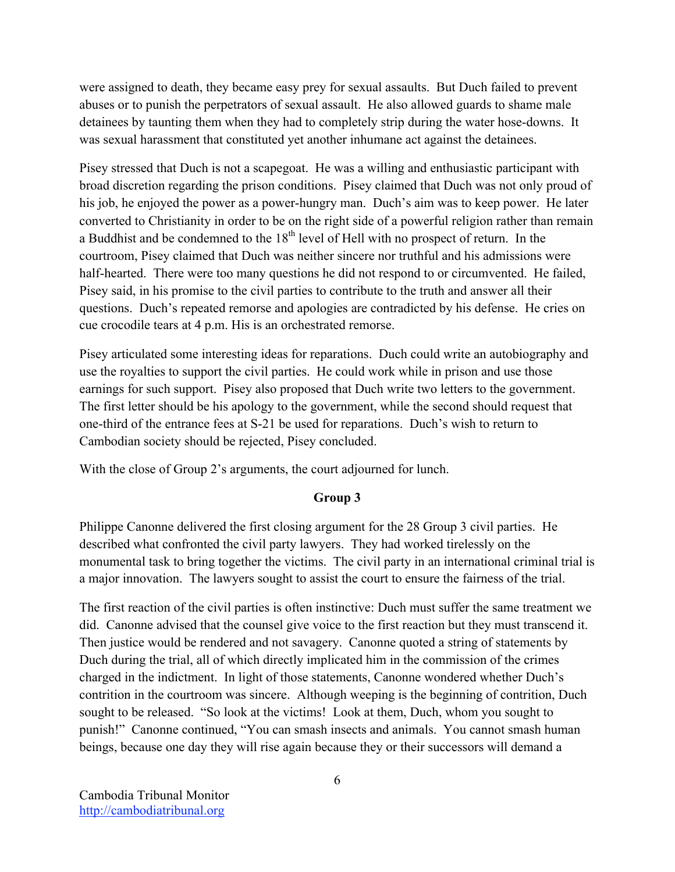were assigned to death, they became easy prey for sexual assaults. But Duch failed to prevent abuses or to punish the perpetrators of sexual assault. He also allowed guards to shame male detainees by taunting them when they had to completely strip during the water hose-downs. It was sexual harassment that constituted yet another inhumane act against the detainees.

Pisey stressed that Duch is not a scapegoat. He was a willing and enthusiastic participant with broad discretion regarding the prison conditions. Pisey claimed that Duch was not only proud of his job, he enjoyed the power as a power-hungry man. Duch's aim was to keep power. He later converted to Christianity in order to be on the right side of a powerful religion rather than remain a Buddhist and be condemned to the  $18<sup>th</sup>$  level of Hell with no prospect of return. In the courtroom, Pisey claimed that Duch was neither sincere nor truthful and his admissions were half-hearted. There were too many questions he did not respond to or circumvented. He failed, Pisey said, in his promise to the civil parties to contribute to the truth and answer all their questions. Duch's repeated remorse and apologies are contradicted by his defense. He cries on cue crocodile tears at 4 p.m. His is an orchestrated remorse.

Pisey articulated some interesting ideas for reparations. Duch could write an autobiography and use the royalties to support the civil parties. He could work while in prison and use those earnings for such support. Pisey also proposed that Duch write two letters to the government. The first letter should be his apology to the government, while the second should request that one-third of the entrance fees at S-21 be used for reparations. Duch's wish to return to Cambodian society should be rejected, Pisey concluded.

With the close of Group 2's arguments, the court adjourned for lunch.

### **Group 3**

Philippe Canonne delivered the first closing argument for the 28 Group 3 civil parties. He described what confronted the civil party lawyers. They had worked tirelessly on the monumental task to bring together the victims. The civil party in an international criminal trial is a major innovation. The lawyers sought to assist the court to ensure the fairness of the trial.

The first reaction of the civil parties is often instinctive: Duch must suffer the same treatment we did. Canonne advised that the counsel give voice to the first reaction but they must transcend it. Then justice would be rendered and not savagery. Canonne quoted a string of statements by Duch during the trial, all of which directly implicated him in the commission of the crimes charged in the indictment. In light of those statements, Canonne wondered whether Duch's contrition in the courtroom was sincere. Although weeping is the beginning of contrition, Duch sought to be released. "So look at the victims! Look at them, Duch, whom you sought to punish!" Canonne continued, "You can smash insects and animals. You cannot smash human beings, because one day they will rise again because they or their successors will demand a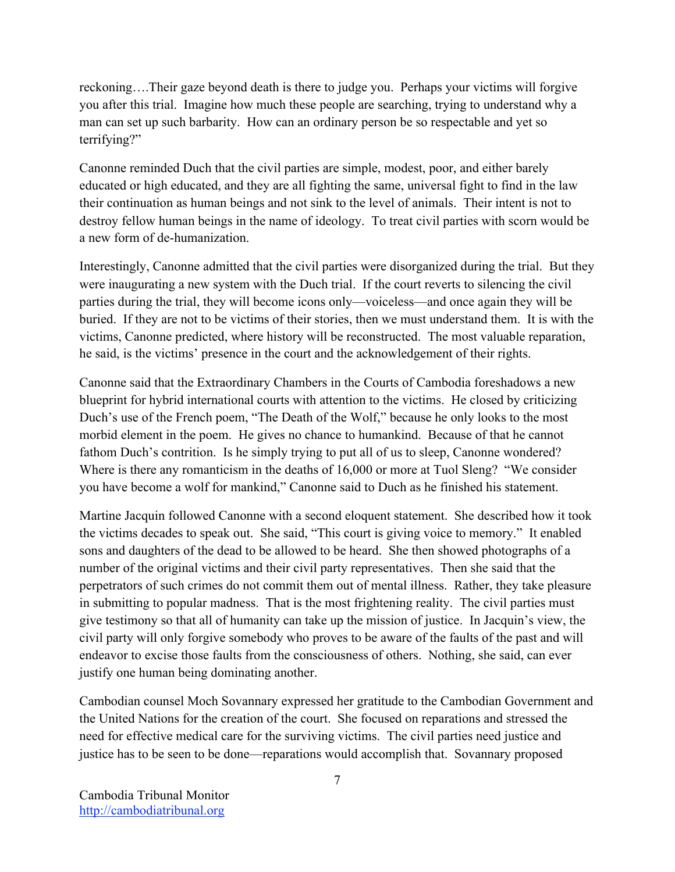reckoning….Their gaze beyond death is there to judge you. Perhaps your victims will forgive you after this trial. Imagine how much these people are searching, trying to understand why a man can set up such barbarity. How can an ordinary person be so respectable and yet so terrifying?"

Canonne reminded Duch that the civil parties are simple, modest, poor, and either barely educated or high educated, and they are all fighting the same, universal fight to find in the law their continuation as human beings and not sink to the level of animals. Their intent is not to destroy fellow human beings in the name of ideology. To treat civil parties with scorn would be a new form of de-humanization.

Interestingly, Canonne admitted that the civil parties were disorganized during the trial. But they were inaugurating a new system with the Duch trial. If the court reverts to silencing the civil parties during the trial, they will become icons only—voiceless—and once again they will be buried. If they are not to be victims of their stories, then we must understand them. It is with the victims, Canonne predicted, where history will be reconstructed. The most valuable reparation, he said, is the victims' presence in the court and the acknowledgement of their rights.

Canonne said that the Extraordinary Chambers in the Courts of Cambodia foreshadows a new blueprint for hybrid international courts with attention to the victims. He closed by criticizing Duch's use of the French poem, "The Death of the Wolf," because he only looks to the most morbid element in the poem. He gives no chance to humankind. Because of that he cannot fathom Duch's contrition. Is he simply trying to put all of us to sleep, Canonne wondered? Where is there any romanticism in the deaths of 16,000 or more at Tuol Sleng? "We consider you have become a wolf for mankind," Canonne said to Duch as he finished his statement.

Martine Jacquin followed Canonne with a second eloquent statement. She described how it took the victims decades to speak out. She said, "This court is giving voice to memory." It enabled sons and daughters of the dead to be allowed to be heard. She then showed photographs of a number of the original victims and their civil party representatives. Then she said that the perpetrators of such crimes do not commit them out of mental illness. Rather, they take pleasure in submitting to popular madness. That is the most frightening reality. The civil parties must give testimony so that all of humanity can take up the mission of justice. In Jacquin's view, the civil party will only forgive somebody who proves to be aware of the faults of the past and will endeavor to excise those faults from the consciousness of others. Nothing, she said, can ever justify one human being dominating another.

Cambodian counsel Moch Sovannary expressed her gratitude to the Cambodian Government and the United Nations for the creation of the court. She focused on reparations and stressed the need for effective medical care for the surviving victims. The civil parties need justice and justice has to be seen to be done—reparations would accomplish that. Sovannary proposed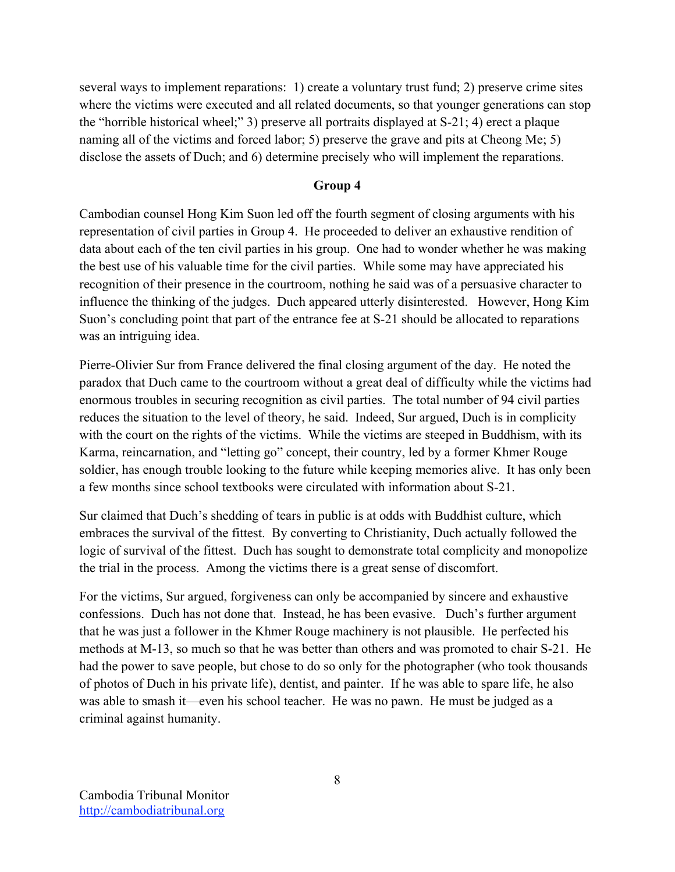several ways to implement reparations: 1) create a voluntary trust fund; 2) preserve crime sites where the victims were executed and all related documents, so that younger generations can stop the "horrible historical wheel;" 3) preserve all portraits displayed at S-21; 4) erect a plaque naming all of the victims and forced labor; 5) preserve the grave and pits at Cheong Me; 5) disclose the assets of Duch; and 6) determine precisely who will implement the reparations.

### **Group 4**

Cambodian counsel Hong Kim Suon led off the fourth segment of closing arguments with his representation of civil parties in Group 4. He proceeded to deliver an exhaustive rendition of data about each of the ten civil parties in his group. One had to wonder whether he was making the best use of his valuable time for the civil parties. While some may have appreciated his recognition of their presence in the courtroom, nothing he said was of a persuasive character to influence the thinking of the judges. Duch appeared utterly disinterested. However, Hong Kim Suon's concluding point that part of the entrance fee at S-21 should be allocated to reparations was an intriguing idea.

Pierre-Olivier Sur from France delivered the final closing argument of the day. He noted the paradox that Duch came to the courtroom without a great deal of difficulty while the victims had enormous troubles in securing recognition as civil parties. The total number of 94 civil parties reduces the situation to the level of theory, he said. Indeed, Sur argued, Duch is in complicity with the court on the rights of the victims. While the victims are steeped in Buddhism, with its Karma, reincarnation, and "letting go" concept, their country, led by a former Khmer Rouge soldier, has enough trouble looking to the future while keeping memories alive. It has only been a few months since school textbooks were circulated with information about S-21.

Sur claimed that Duch's shedding of tears in public is at odds with Buddhist culture, which embraces the survival of the fittest. By converting to Christianity, Duch actually followed the logic of survival of the fittest. Duch has sought to demonstrate total complicity and monopolize the trial in the process. Among the victims there is a great sense of discomfort.

For the victims, Sur argued, forgiveness can only be accompanied by sincere and exhaustive confessions. Duch has not done that. Instead, he has been evasive. Duch's further argument that he was just a follower in the Khmer Rouge machinery is not plausible. He perfected his methods at M-13, so much so that he was better than others and was promoted to chair S-21. He had the power to save people, but chose to do so only for the photographer (who took thousands of photos of Duch in his private life), dentist, and painter. If he was able to spare life, he also was able to smash it—even his school teacher. He was no pawn. He must be judged as a criminal against humanity.